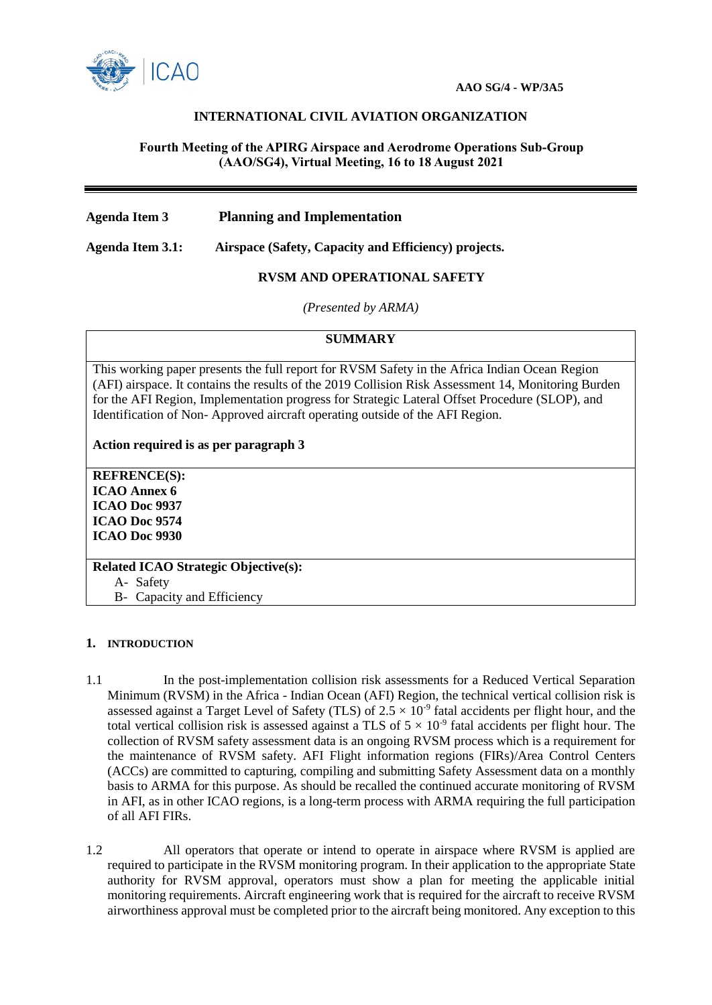

## **INTERNATIONAL CIVIL AVIATION ORGANIZATION**

### **Fourth Meeting of the APIRG Airspace and Aerodrome Operations Sub-Group (AAO/SG4), Virtual Meeting, 16 to 18 August 2021**

**Agenda Item 3 Planning and Implementation** 

**Agenda Item 3.1: Airspace (Safety, Capacity and Efficiency) projects.**

**RVSM AND OPERATIONAL SAFETY**

*(Presented by ARMA)*

# **SUMMARY**

This working paper presents the full report for RVSM Safety in the Africa Indian Ocean Region (AFI) airspace. It contains the results of the 2019 Collision Risk Assessment 14, Monitoring Burden for the AFI Region, Implementation progress for Strategic Lateral Offset Procedure (SLOP), and Identification of Non- Approved aircraft operating outside of the AFI Region.

**Action required is as per paragraph 3**

**REFRENCE(S): ICAO Annex 6 ICAO Doc 9937 ICAO Doc 9574 ICAO Doc 9930**

**Related ICAO Strategic Objective(s):** A- Safety

B- Capacity and Efficiency

#### **1. INTRODUCTION**

- 1.1 In the post-implementation collision risk assessments for a Reduced Vertical Separation Minimum (RVSM) in the Africa - Indian Ocean (AFI) Region, the technical vertical collision risk is assessed against a Target Level of Safety (TLS) of  $2.5 \times 10^{-9}$  fatal accidents per flight hour, and the total vertical collision risk is assessed against a TLS of  $5 \times 10^{-9}$  fatal accidents per flight hour. The collection of RVSM safety assessment data is an ongoing RVSM process which is a requirement for the maintenance of RVSM safety. AFI Flight information regions (FIRs)/Area Control Centers (ACCs) are committed to capturing, compiling and submitting Safety Assessment data on a monthly basis to ARMA for this purpose. As should be recalled the continued accurate monitoring of RVSM in AFI, as in other ICAO regions, is a long-term process with ARMA requiring the full participation of all AFI FIRs.
- 1.2 All operators that operate or intend to operate in airspace where RVSM is applied are required to participate in the RVSM monitoring program. In their application to the appropriate State authority for RVSM approval, operators must show a plan for meeting the applicable initial monitoring requirements. Aircraft engineering work that is required for the aircraft to receive RVSM airworthiness approval must be completed prior to the aircraft being monitored. Any exception to this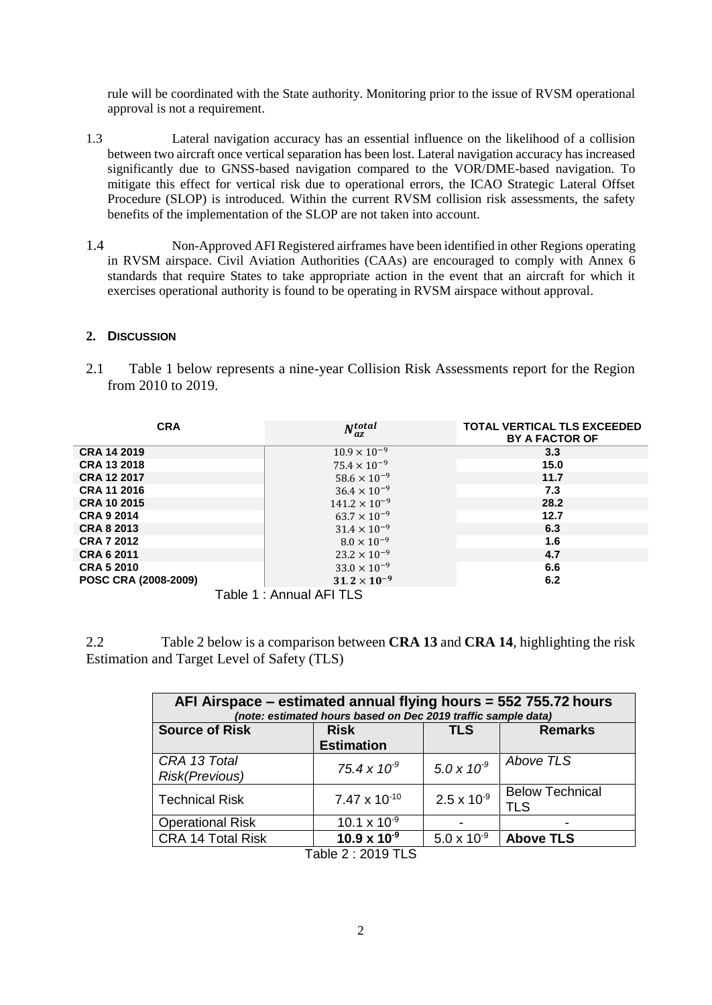rule will be coordinated with the State authority. Monitoring prior to the issue of RVSM operational approval is not a requirement.

- 1.3 Lateral navigation accuracy has an essential influence on the likelihood of a collision between two aircraft once vertical separation has been lost. Lateral navigation accuracy has increased significantly due to GNSS-based navigation compared to the VOR/DME-based navigation. To mitigate this effect for vertical risk due to operational errors, the ICAO Strategic Lateral Offset Procedure (SLOP) is introduced. Within the current RVSM collision risk assessments, the safety benefits of the implementation of the SLOP are not taken into account.
- 1.4 Non-Approved AFI Registered airframes have been identified in other Regions operating in RVSM airspace. Civil Aviation Authorities (CAAs) are encouraged to comply with Annex 6 standards that require States to take appropriate action in the event that an aircraft for which it exercises operational authority is found to be operating in RVSM airspace without approval.

### **2. DISCUSSION**

2.1 Table 1 below represents a nine-year Collision Risk Assessments report for the Region from 2010 to 2019.

| <b>CRA</b>           | $N_{az}^{total}$         | <b>TOTAL VERTICAL TLS EXCEEDED</b><br><b>BY A FACTOR OF</b> |  |
|----------------------|--------------------------|-------------------------------------------------------------|--|
| <b>CRA 14 2019</b>   | $10.9 \times 10^{-9}$    | 3.3                                                         |  |
| <b>CRA 13 2018</b>   | $75.4 \times 10^{-9}$    | 15.0                                                        |  |
| <b>CRA 12 2017</b>   | $58.6 \times 10^{-9}$    | 11.7                                                        |  |
| <b>CRA 11 2016</b>   | $36.4 \times 10^{-9}$    | 7.3                                                         |  |
| <b>CRA 10 2015</b>   | $141.2 \times 10^{-9}$   | 28.2                                                        |  |
| <b>CRA 9 2014</b>    | $63.7 \times 10^{-9}$    | 12.7                                                        |  |
| <b>CRA 8 2013</b>    | $31.4 \times 10^{-9}$    | 6.3                                                         |  |
| <b>CRA 7 2012</b>    | $8.0 \times 10^{-9}$     | 1.6                                                         |  |
| <b>CRA 6 2011</b>    | $23.2 \times 10^{-9}$    | 4.7                                                         |  |
| <b>CRA 5 2010</b>    | $33.0 \times 10^{-9}$    | 6.6                                                         |  |
| POSC CRA (2008-2009) | $31.2 \times 10^{-9}$    | 6.2                                                         |  |
|                      | Table 1 : Annual AFI TLS |                                                             |  |

2.2 Table 2 below is a comparison between **CRA 13** and **CRA 14**, highlighting the risk Estimation and Target Level of Safety (TLS)

| AFI Airspace – estimated annual flying hours = 552 755.72 hours<br>(note: estimated hours based on Dec 2019 traffic sample data) |                       |                        |  |  |
|----------------------------------------------------------------------------------------------------------------------------------|-----------------------|------------------------|--|--|
| <b>Risk</b>                                                                                                                      | <b>TLS</b>            | <b>Remarks</b>         |  |  |
| <b>Estimation</b>                                                                                                                |                       |                        |  |  |
|                                                                                                                                  |                       | Above TLS              |  |  |
|                                                                                                                                  |                       |                        |  |  |
| $7.47 \times 10^{-10}$                                                                                                           | $2.5 \times 10^{-9}$  | <b>Below Technical</b> |  |  |
|                                                                                                                                  |                       | <b>TLS</b>             |  |  |
| 10.1 x $10^{-9}$                                                                                                                 |                       |                        |  |  |
| $10.9 \times 10^{-9}$                                                                                                            | $5.0 \times 10^{-9}$  | <b>Above TLS</b>       |  |  |
|                                                                                                                                  | $75.4 \times 10^{-9}$ | $5.0 \times 10^{-9}$   |  |  |

Table 2 : 2019 TLS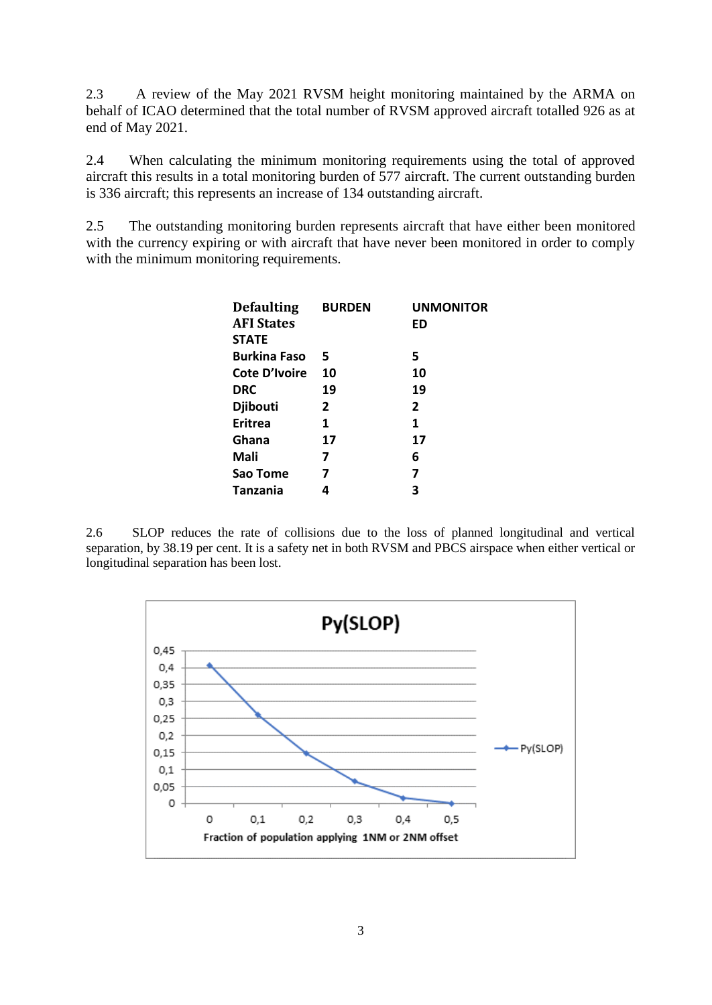2.3 A review of the May 2021 RVSM height monitoring maintained by the ARMA on behalf of ICAO determined that the total number of RVSM approved aircraft totalled 926 as at end of May 2021.

2.4 When calculating the minimum monitoring requirements using the total of approved aircraft this results in a total monitoring burden of 577 aircraft. The current outstanding burden is 336 aircraft; this represents an increase of 134 outstanding aircraft.

2.5 The outstanding monitoring burden represents aircraft that have either been monitored with the currency expiring or with aircraft that have never been monitored in order to comply with the minimum monitoring requirements.

| <b>Defaulting</b>   | <b>BURDEN</b> | <b>UNMONITOR</b> |
|---------------------|---------------|------------------|
| <b>AFI States</b>   |               | ED               |
| <b>STATE</b>        |               |                  |
| <b>Burkina Faso</b> | 5             | 5                |
| Cote D'Ivoire       | 10            | 10               |
| <b>DRC</b>          | 19            | 19               |
| <b>Djibouti</b>     | 2             | $\overline{2}$   |
| <b>Eritrea</b>      | 1             | 1                |
| Ghana               | 17            | 17               |
| Mali                | 7             | 6                |
| Sao Tome            | 7             | 7                |
| Tanzania            | 4             | 3                |

2.6 SLOP reduces the rate of collisions due to the loss of planned longitudinal and vertical separation, by 38.19 per cent. It is a safety net in both RVSM and PBCS airspace when either vertical or longitudinal separation has been lost.

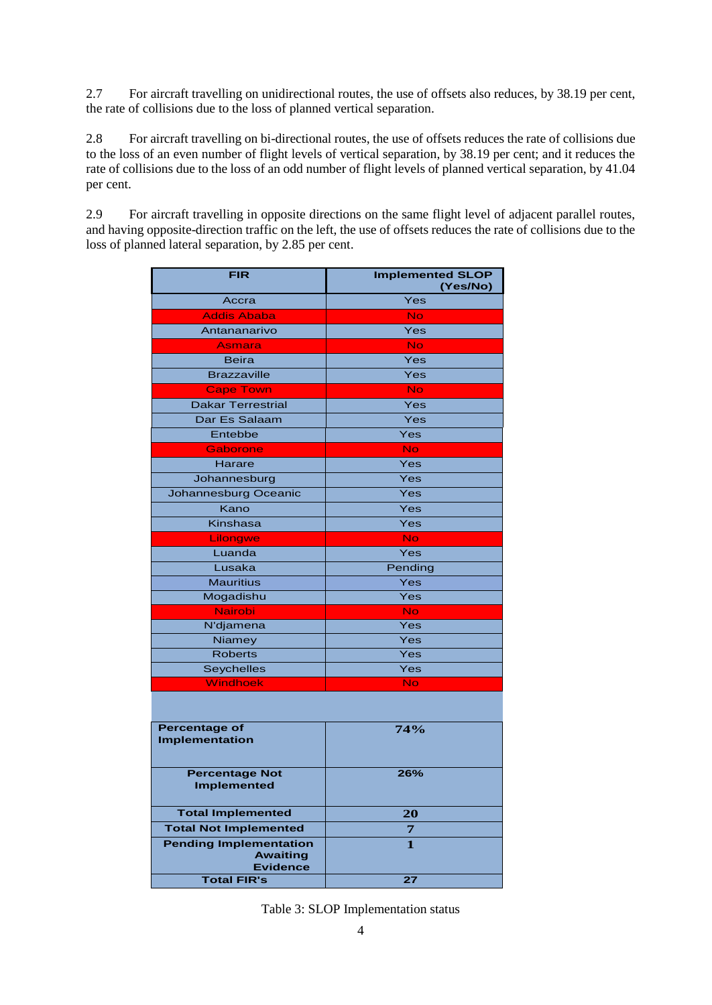2.7 For aircraft travelling on unidirectional routes, the use of offsets also reduces, by 38.19 per cent, the rate of collisions due to the loss of planned vertical separation.

2.8 For aircraft travelling on bi-directional routes, the use of offsets reduces the rate of collisions due to the loss of an even number of flight levels of vertical separation, by 38.19 per cent; and it reduces the rate of collisions due to the loss of an odd number of flight levels of planned vertical separation, by 41.04 per cent.

2.9 For aircraft travelling in opposite directions on the same flight level of adjacent parallel routes, and having opposite-direction traffic on the left, the use of offsets reduces the rate of collisions due to the loss of planned lateral separation, by 2.85 per cent.

| <b>FIR</b>               | <b>Implemented SLOP</b><br>(Yes/No) |  |  |
|--------------------------|-------------------------------------|--|--|
| Accra                    | Yes                                 |  |  |
| <b>Addis Ababa</b>       | <b>No</b>                           |  |  |
| Antananarivo             | Yes                                 |  |  |
| <b>Asmara</b>            | <b>No</b>                           |  |  |
| <b>Beira</b>             | Yes                                 |  |  |
| <b>Brazzaville</b>       | Yes                                 |  |  |
| <b>Cape Town</b>         | <b>No</b>                           |  |  |
| <b>Dakar Terrestrial</b> | Yes                                 |  |  |
| Dar Es Salaam            | Yes                                 |  |  |
| Entebbe                  | Yes                                 |  |  |
| Gaborone                 | <b>No</b>                           |  |  |
| Harare                   | Yes                                 |  |  |
| Johannesburg             | Yes                                 |  |  |
| Johannesburg Oceanic     | Yes                                 |  |  |
| Kano                     | Yes                                 |  |  |
| Kinshasa                 | Yes                                 |  |  |
| Lilongwe                 | <b>No</b>                           |  |  |
| Luanda                   | Yes                                 |  |  |
| Lusaka                   | Pending                             |  |  |
| <b>Mauritius</b>         | Yes                                 |  |  |
| Mogadishu                | Yes                                 |  |  |
| <b>Nairobi</b>           | <b>No</b>                           |  |  |
| N'djamena                | Yes                                 |  |  |
| Niamey                   | Yes                                 |  |  |
| <b>Roberts</b>           | Yes                                 |  |  |
| <b>Seychelles</b>        | Yes                                 |  |  |
| Windhoek                 | <b>No</b>                           |  |  |

| <b>Percentage of</b><br><b>Implementation</b>                       | 74% |
|---------------------------------------------------------------------|-----|
| <b>Percentage Not</b><br><b>Implemented</b>                         | 26% |
| <b>Total Implemented</b>                                            | 20  |
| <b>Total Not Implemented</b>                                        |     |
| <b>Pending Implementation</b><br><b>Awaiting</b><br><b>Evidence</b> |     |
| <b>Total FIR's</b>                                                  |     |

Table 3: SLOP Implementation status